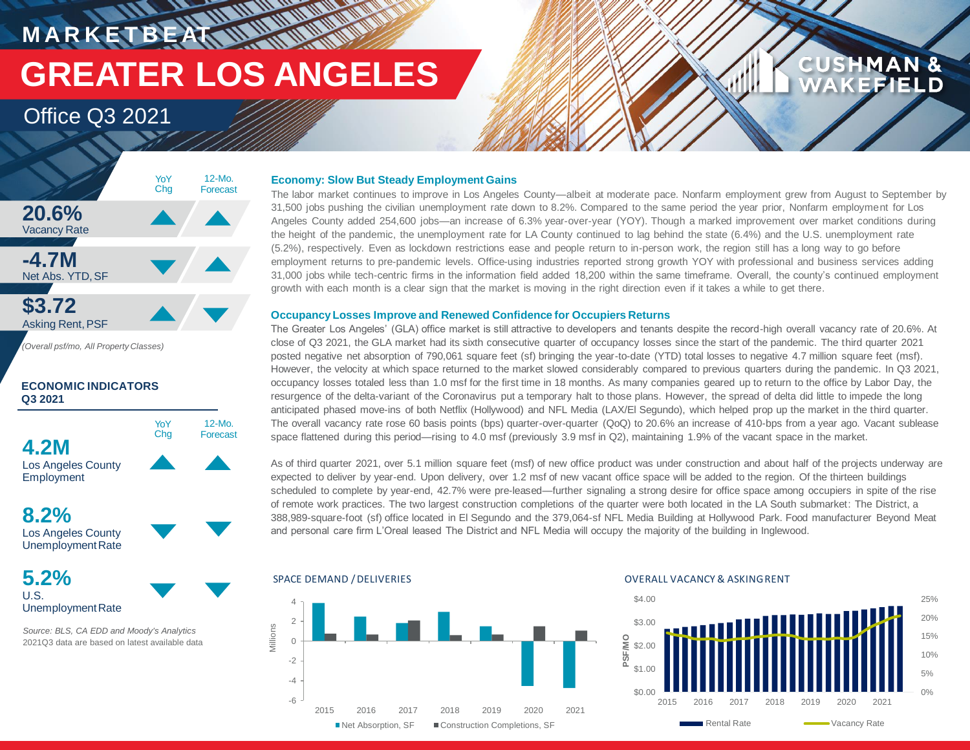**MARKETBEATTMONTHEM GREATER LOS ANGELES**

> 12-Mo. Forecast

# Office Q3 2021



*(Overall psf/mo, All Property Classes)*

## **ECONOMIC INDICATORS Q3 2021**



**Employment** 

**8.2%**



**5.2%** U.S.

UnemploymentRate

*Source: BLS, CA EDD and Moody's Analytics* 2021Q3 data are based on latest available data

### **Economy: Slow But Steady Employment Gains**

The labor market continues to improve in Los Angeles County—albeit at moderate pace. Nonfarm employment grew from August to September by 31,500 jobs pushing the civilian unemployment rate down to 8.2%. Compared to the same period the year prior, Nonfarm employment for Los Angeles County added 254,600 jobs—an increase of 6.3% year-over-year (YOY). Though a marked improvement over market conditions during the height of the pandemic, the unemployment rate for LA County continued to lag behind the state (6.4%) and the U.S. unemployment rate (5.2%), respectively. Even as lockdown restrictions ease and people return to in-person work, the region still has a long way to go before employment returns to pre-pandemic levels. Office-using industries reported strong growth YOY with professional and business services adding 31,000 jobs while tech-centric firms in the information field added 18,200 within the same timeframe. Overall, the county's continued employment growth with each month is a clear sign that the market is moving in the right direction even if it takes a while to get there.

### **Occupancy Losses Improve and Renewed Confidence for Occupiers Returns**

The Greater Los Angeles' (GLA) office market is still attractive to developers and tenants despite the record-high overall vacancy rate of 20.6%. At close of Q3 2021, the GLA market had its sixth consecutive quarter of occupancy losses since the start of the pandemic. The third quarter 2021 posted negative net absorption of 790,061 square feet (sf) bringing the year-to-date (YTD) total losses to negative 4.7 million square feet (msf). However, the velocity at which space returned to the market slowed considerably compared to previous quarters during the pandemic. In Q3 2021, occupancy losses totaled less than 1.0 msf for the first time in 18 months. As many companies geared up to return to the office by Labor Day, the resurgence of the delta-variant of the Coronavirus put a temporary halt to those plans. However, the spread of delta did little to impede the long anticipated phased move-ins of both Netflix (Hollywood) and NFL Media (LAX/El Segundo), which helped prop up the market in the third quarter. The overall vacancy rate rose 60 basis points (bps) quarter-over-quarter (QoQ) to 20.6% an increase of 410-bps from a year ago. Vacant sublease space flattened during this period—rising to 4.0 msf (previously 3.9 msf in Q2), maintaining 1.9% of the vacant space in the market.

As of third quarter 2021, over 5.1 million square feet (msf) of new office product was under construction and about half of the projects underway are expected to deliver by year-end. Upon delivery, over 1.2 msf of new vacant office space will be added to the region. Of the thirteen buildings scheduled to complete by year-end, 42.7% were pre-leased—further signaling a strong desire for office space among occupiers in spite of the rise of remote work practices. The two largest construction completions of the quarter were both located in the LA South submarket: The District, a 388,989-square-foot (sf) office located in El Segundo and the 379,064-sf NFL Media Building at Hollywood Park. Food manufacturer Beyond Meat and personal care firm L'Oreal leased The District and NFL Media will occupy the majority of the building in Inglewood.



### SPACE DEMAND / DELIVERIES **EXECUTES** OVERALL VACANCY & ASKINGRENT



**CUSHMAN &** 

**EFIELD**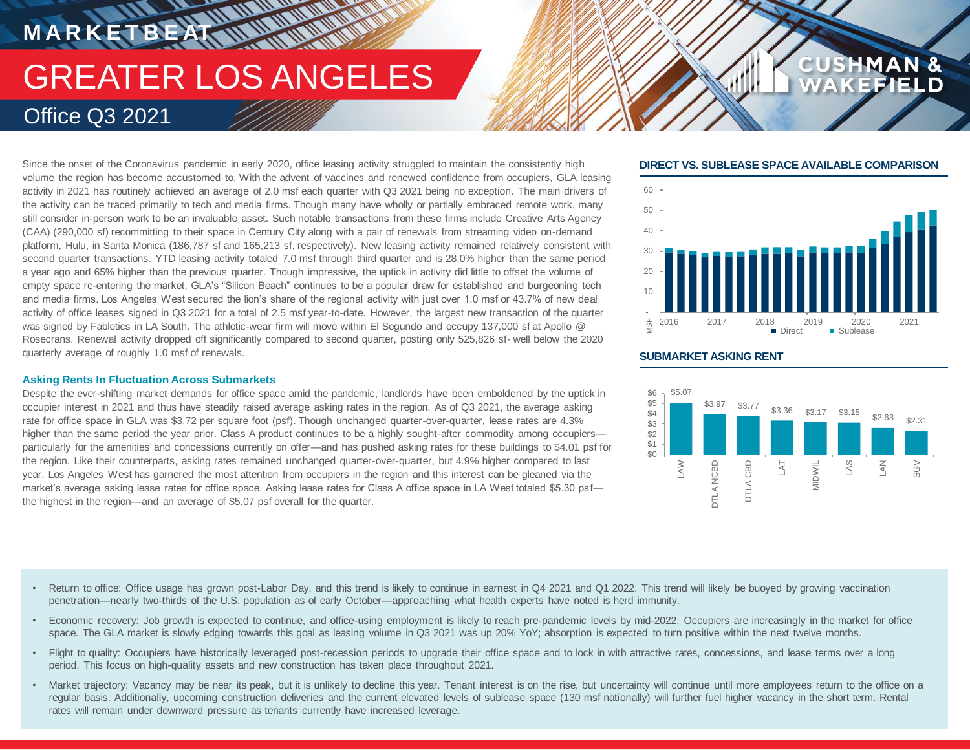# GREATER LOS ANGELES Office Q3 2021

Since the onset of the Coronavirus pandemic in early 2020, office leasing activity struggled to maintain the consistently high volume the region has become accustomed to. With the advent of vaccines and renewed confidence from occupiers, GLA leasing activity in 2021 has routinely achieved an average of 2.0 msf each quarter with Q3 2021 being no exception. The main drivers of the activity can be traced primarily to tech and media firms. Though many have wholly or partially embraced remote work, many still consider in-person work to be an invaluable asset. Such notable transactions from these firms include Creative Arts Agency (CAA) (290,000 sf) recommitting to their space in Century City along with a pair of renewals from streaming video on-demand platform, Hulu, in Santa Monica (186,787 sf and 165,213 sf, respectively). New leasing activity remained relatively consistent with second quarter transactions. YTD leasing activity totaled 7.0 msf through third quarter and is 28.0% higher than the same period a year ago and 65% higher than the previous quarter. Though impressive, the uptick in activity did little to offset the volume of empty space re-entering the market, GLA's "Silicon Beach" continues to be a popular draw for established and burgeoning tech and media firms. Los Angeles West secured the lion's share of the regional activity with just over 1.0 msf or 43.7% of new deal activity of office leases signed in Q3 2021 for a total of 2.5 msf year-to-date. However, the largest new transaction of the quarter was signed by Fabletics in LA South. The athletic-wear firm will move within El Segundo and occupy 137,000 sf at Apollo @ Rosecrans. Renewal activity dropped off significantly compared to second quarter, posting only 525,826 sf- well below the 2020 quarterly average of roughly 1.0 msf of renewals.

### **Asking Rents In Fluctuation Across Submarkets**

**M A R K E T B E AT**

Despite the ever-shifting market demands for office space amid the pandemic, landlords have been emboldened by the uptick in occupier interest in 2021 and thus have steadily raised average asking rates in the region. As of Q3 2021, the average asking rate for office space in GLA was \$3.72 per square foot (psf). Though unchanged quarter-over-quarter, lease rates are 4.3% higher than the same period the year prior. Class A product continues to be a highly sought-after commodity among occupiers particularly for the amenities and concessions currently on offer—and has pushed asking rates for these buildings to \$4.01 psf for the region. Like their counterparts, asking rates remained unchanged quarter-over-quarter, but 4.9% higher compared to last year. Los Angeles West has garnered the most attention from occupiers in the region and this interest can be gleaned via the market's average asking lease rates for office space. Asking lease rates for Class A office space in LA West totaled \$5.30 psf the highest in the region—and an average of \$5.07 psf overall for the quarter.

### **DIRECT VS. SUBLEASE SPACE AVAILABLE COMPARISON**

**CUSHMAN &** 



### **SUBMARKET ASKING RENT**



- Return to office: Office usage has grown post-Labor Day, and this trend is likely to continue in earnest in Q4 2021 and Q1 2022. This trend will likely be buoyed by growing vaccination penetration—nearly two-thirds of the U.S. population as of early October—approaching what health experts have noted is herd immunity.
- Economic recovery: Job growth is expected to continue, and office-using employment is likely to reach pre-pandemic levels by mid-2022. Occupiers are increasingly in the market for office space. The GLA market is slowly edging towards this goal as leasing volume in Q3 2021 was up 20% YoY; absorption is expected to turn positive within the next twelve months.
- Flight to quality: Occupiers have historically leveraged post-recession periods to upgrade their office space and to lock in with attractive rates, concessions, and lease terms over a long period. This focus on high-quality assets and new construction has taken place throughout 2021.
- Market trajectory: Vacancy may be near its peak, but it is unlikely to decline this year. Tenant interest is on the rise, but uncertainty will continue until more employees return to the office on a regular basis. Additionally, upcoming construction deliveries and the current elevated levels of sublease space (130 msf nationally) will further fuel higher vacancy in the short term. Rental rates will remain under downward pressure as tenants currently have increased leverage.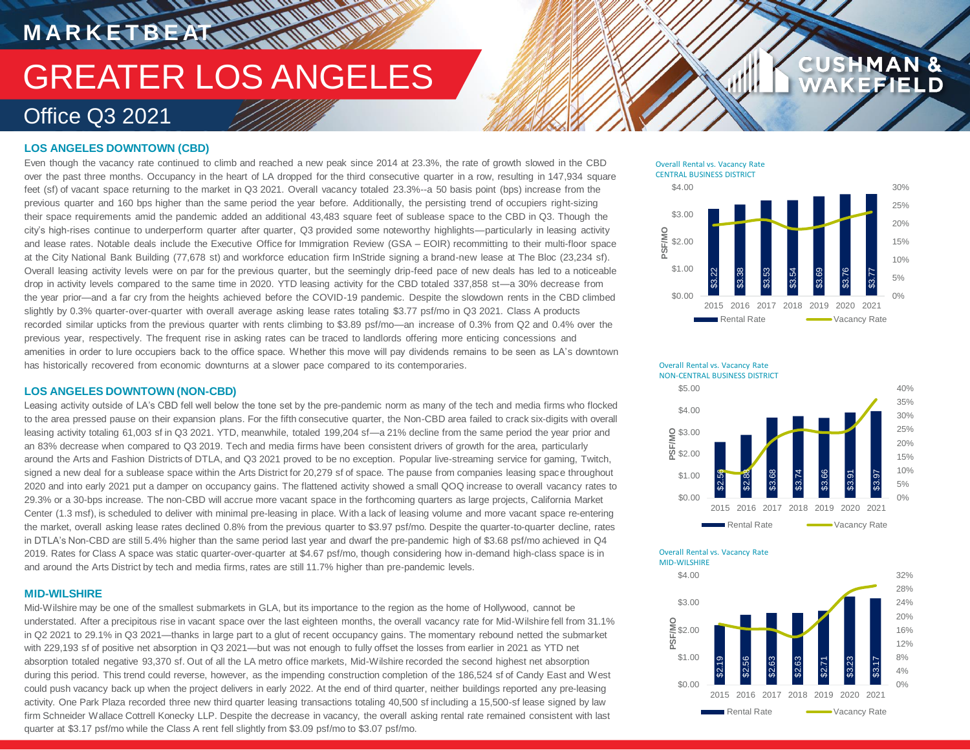# **MARKETBEAT MUNICIPAL** GREATER LOS ANGELES Office Q3 2021

### **LOS ANGELES DOWNTOWN (CBD)**

Even though the vacancy rate continued to climb and reached a new peak since 2014 at 23.3%, the rate of growth slowed in the CBD over the past three months. Occupancy in the heart of LA dropped for the third consecutive quarter in a row, resulting in 147,934 square feet (sf) of vacant space returning to the market in Q3 2021. Overall vacancy totaled 23.3%--a 50 basis point (bps) increase from the previous quarter and 160 bps higher than the same period the year before. Additionally, the persisting trend of occupiers right-sizing their space requirements amid the pandemic added an additional 43,483 square feet of sublease space to the CBD in Q3. Though the city's high-rises continue to underperform quarter after quarter, Q3 provided some noteworthy highlights—particularly in leasing activity and lease rates. Notable deals include the Executive Office for Immigration Review (GSA – EOIR) recommitting to their multi-floor space at the City National Bank Building (77,678 st) and workforce education firm InStride signing a brand-new lease at The Bloc (23,234 sf). Overall leasing activity levels were on par for the previous quarter, but the seemingly drip-feed pace of new deals has led to a noticeable drop in activity levels compared to the same time in 2020. YTD leasing activity for the CBD totaled 337,858 st—a 30% decrease from the year prior—and a far cry from the heights achieved before the COVID-19 pandemic. Despite the slowdown rents in the CBD climbed slightly by 0.3% quarter-over-quarter with overall average asking lease rates totaling \$3.77 psf/mo in Q3 2021. Class A products recorded similar upticks from the previous quarter with rents climbing to \$3.89 psf/mo—an increase of 0.3% from Q2 and 0.4% over the previous year, respectively. The frequent rise in asking rates can be traced to landlords offering more enticing concessions and amenities in order to lure occupiers back to the office space. Whether this move will pay dividends remains to be seen as LA's downtown has historically recovered from economic downturns at a slower pace compared to its contemporaries.

### **LOS ANGELES DOWNTOWN (NON-CBD)**

Leasing activity outside of LA's CBD fell well below the tone set by the pre-pandemic norm as many of the tech and media firms who flocked to the area pressed pause on their expansion plans. For the fifth consecutive quarter, the Non-CBD area failed to crack six-digits with overall leasing activity totaling 61,003 sf in Q3 2021. YTD, meanwhile, totaled 199,204 sf—a 21% decline from the same period the year prior and an 83% decrease when compared to Q3 2019. Tech and media firms have been consistent drivers of growth for the area, particularly around the Arts and Fashion Districts of DTLA, and Q3 2021 proved to be no exception. Popular live-streaming service for gaming, Twitch, signed a new deal for a sublease space within the Arts District for 20,279 sf of space. The pause from companies leasing space throughout 2020 and into early 2021 put a damper on occupancy gains. The flattened activity showed a small QOQ increase to overall vacancy rates to 29.3% or a 30-bps increase. The non-CBD will accrue more vacant space in the forthcoming quarters as large projects, California Market Center (1.3 msf), is scheduled to deliver with minimal pre-leasing in place. With a lack of leasing volume and more vacant space re-entering the market, overall asking lease rates declined 0.8% from the previous quarter to \$3.97 psf/mo. Despite the quarter-to-quarter decline, rates in DTLA's Non-CBD are still 5.4% higher than the same period last year and dwarf the pre-pandemic high of \$3.68 psf/mo achieved in Q4 2019. Rates for Class A space was static quarter-over-quarter at \$4.67 psf/mo, though considering how in-demand high-class space is in and around the Arts District by tech and media firms, rates are still 11.7% higher than pre-pandemic levels.

#### **MID-WILSHIRE**

Mid-Wilshire may be one of the smallest submarkets in GLA, but its importance to the region as the home of Hollywood, cannot be understated. After a precipitous rise in vacant space over the last eighteen months, the overall vacancy rate for Mid-Wilshire fell from 31.1% in Q2 2021 to 29.1% in Q3 2021—thanks in large part to a glut of recent occupancy gains. The momentary rebound netted the submarket with 229,193 sf of positive net absorption in Q3 2021—but was not enough to fully offset the losses from earlier in 2021 as YTD net absorption totaled negative 93,370 sf. Out of all the LA metro office markets, Mid-Wilshire recorded the second highest net absorption during this period. This trend could reverse, however, as the impending construction completion of the 186,524 sf of Candy East and West could push vacancy back up when the project delivers in early 2022. At the end of third quarter, neither buildings reported any pre-leasing activity. One Park Plaza recorded three new third quarter leasing transactions totaling 40,500 sf including a 15,500-sf lease signed by law firm Schneider Wallace Cottrell Konecky LLP. Despite the decrease in vacancy, the overall asking rental rate remained consistent with last quarter at \$3.17 psf/mo while the Class A rent fell slightly from \$3.09 psf/mo to \$3.07 psf/mo.

Overall Rental vs. Vacancy Rate CENTRAL BUSINESS DISTRICT



**CUS** 





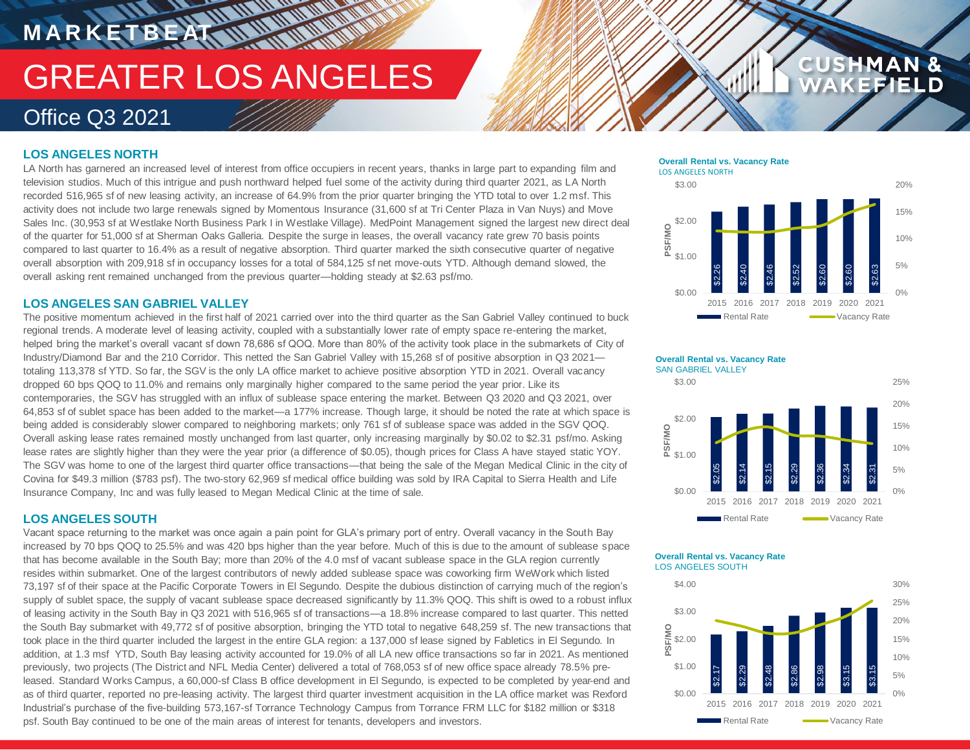# **TATALOGICAL** GREATER LOS ANGELES Office Q3 2021

# **LOS ANGELES NORTH**

**M A R K E T B E AT**

LA North has garnered an increased level of interest from office occupiers in recent years, thanks in large part to expanding film and television studios. Much of this intrigue and push northward helped fuel some of the activity during third quarter 2021, as LA North recorded 516,965 sf of new leasing activity, an increase of 64.9% from the prior quarter bringing the YTD total to over 1.2 msf. This activity does not include two large renewals signed by Momentous Insurance (31,600 sf at Tri Center Plaza in Van Nuys) and Move Sales Inc. (30,953 sf at Westlake North Business Park I in Westlake Village). MedPoint Management signed the largest new direct deal of the quarter for 51,000 sf at Sherman Oaks Galleria. Despite the surge in leases, the overall vacancy rate grew 70 basis points compared to last quarter to 16.4% as a result of negative absorption. Third quarter marked the sixth consecutive quarter of negative overall absorption with 209,918 sf in occupancy losses for a total of 584,125 sf net move-outs YTD. Although demand slowed, the overall asking rent remained unchanged from the previous quarter—holding steady at \$2.63 psf/mo.

### **LOS ANGELES SAN GABRIEL VALLEY**

The positive momentum achieved in the first half of 2021 carried over into the third quarter as the San Gabriel Valley continued to buck regional trends. A moderate level of leasing activity, coupled with a substantially lower rate of empty space re-entering the market, helped bring the market's overall vacant sf down 78,686 sf QOQ. More than 80% of the activity took place in the submarkets of City of Industry/Diamond Bar and the 210 Corridor. This netted the San Gabriel Valley with 15,268 sf of positive absorption in Q3 2021 totaling 113,378 sf YTD. So far, the SGV is the only LA office market to achieve positive absorption YTD in 2021. Overall vacancy dropped 60 bps QOQ to 11.0% and remains only marginally higher compared to the same period the year prior. Like its contemporaries, the SGV has struggled with an influx of sublease space entering the market. Between Q3 2020 and Q3 2021, over 64,853 sf of sublet space has been added to the market—a 177% increase. Though large, it should be noted the rate at which space is being added is considerably slower compared to neighboring markets; only 761 sf of sublease space was added in the SGV QOQ. Overall asking lease rates remained mostly unchanged from last quarter, only increasing marginally by \$0.02 to \$2.31 psf/mo. Asking lease rates are slightly higher than they were the year prior (a difference of \$0.05), though prices for Class A have stayed static YOY. The SGV was home to one of the largest third quarter office transactions—that being the sale of the Megan Medical Clinic in the city of Covina for \$49.3 million (\$783 psf). The two-story 62,969 sf medical office building was sold by IRA Capital to Sierra Health and Life Insurance Company, Inc and was fully leased to Megan Medical Clinic at the time of sale.

### **LOS ANGELES SOUTH**

Vacant space returning to the market was once again a pain point for GLA's primary port of entry. Overall vacancy in the South Bay increased by 70 bps QOQ to 25.5% and was 420 bps higher than the year before. Much of this is due to the amount of sublease space that has become available in the South Bay; more than 20% of the 4.0 msf of vacant sublease space in the GLA region currently resides within submarket. One of the largest contributors of newly added sublease space was coworking firm WeWork which listed 73,197 sf of their space at the Pacific Corporate Towers in El Segundo. Despite the dubious distinction of carrying much of the region's supply of sublet space, the supply of vacant sublease space decreased significantly by 11.3% QOQ. This shift is owed to a robust influx of leasing activity in the South Bay in Q3 2021 with 516,965 sf of transactions—a 18.8% increase compared to last quarter. This netted the South Bay submarket with 49,772 sf of positive absorption, bringing the YTD total to negative 648,259 sf. The new transactions that took place in the third quarter included the largest in the entire GLA region: a 137,000 sf lease signed by Fabletics in El Segundo. In addition, at 1.3 msf YTD, South Bay leasing activity accounted for 19.0% of all LA new office transactions so far in 2021. As mentioned previously, two projects (The District and NFL Media Center) delivered a total of 768,053 sf of new office space already 78.5% preleased. Standard Works Campus, a 60,000-sf Class B office development in El Segundo, is expected to be completed by year-end and as of third quarter, reported no pre-leasing activity. The largest third quarter investment acquisition in the LA office market was Rexford Industrial's purchase of the five-building 573,167-sf Torrance Technology Campus from Torrance FRM LLC for \$182 million or \$318 psf. South Bay continued to be one of the main areas of interest for tenants, developers and investors.

### **Overall Rental vs. Vacancy Rate** LOS ANGELES NORTH



**CUSHMAN &** 

FIELD



#### **Overall Rental vs. Vacancy Rate** LOS ANGELES SOUTH

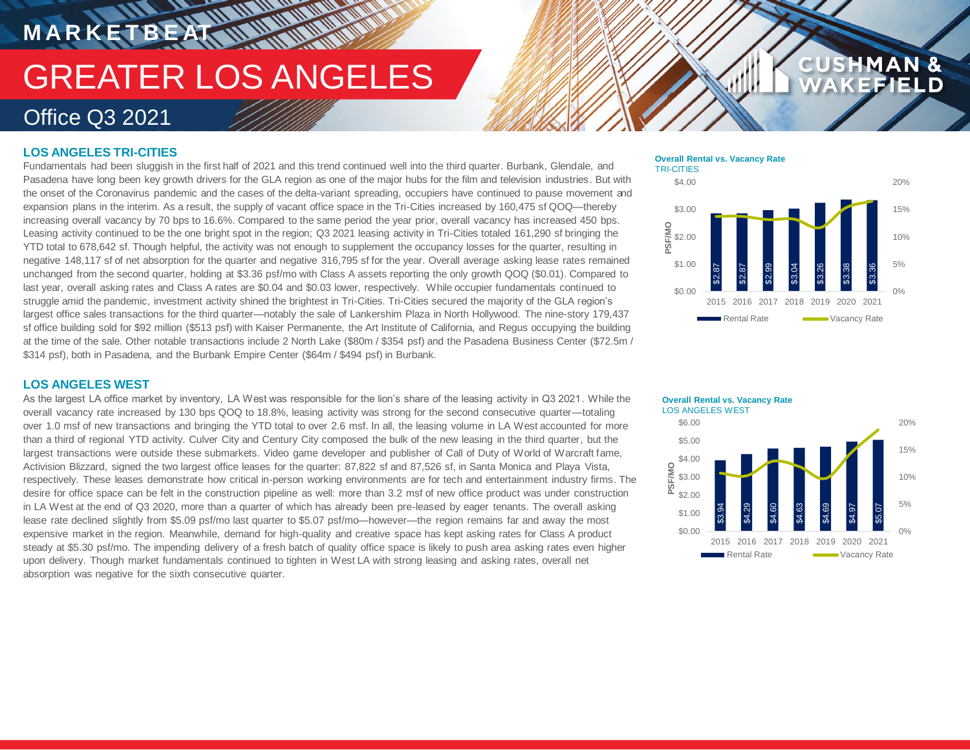# GREATER LOS ANGELES Office Q3 2021

# **LOS ANGELES TRI-CITIES**

**M A R K E T B E AT**

Fundamentals had been sluggish in the first half of 2021 and this trend continued well into the third quarter. Burbank, Glendale, and Pasadena have long been key growth drivers for the GLA region as one of the major hubs for the film and television industries. But with the onset of the Coronavirus pandemic and the cases of the delta-variant spreading, occupiers have continued to pause movement and expansion plans in the interim. As a result, the supply of vacant office space in the Tri-Cities increased by 160,475 sf QOQ—thereby increasing overall vacancy by 70 bps to 16.6%. Compared to the same period the year prior, overall vacancy has increased 450 bps. Leasing activity continued to be the one bright spot in the region; Q3 2021 leasing activity in Tri-Cities totaled 161,290 sf bringing the YTD total to 678,642 sf. Though helpful, the activity was not enough to supplement the occupancy losses for the quarter, resulting in negative 148,117 sf of net absorption for the quarter and negative 316,795 sf for the year. Overall average asking lease rates remained unchanged from the second quarter, holding at \$3.36 psf/mo with Class A assets reporting the only growth QOQ (\$0.01). Compared to last year, overall asking rates and Class A rates are \$0.04 and \$0.03 lower, respectively. While occupier fundamentals continued to struggle amid the pandemic, investment activity shined the brightest in Tri-Cities. Tri-Cities secured the majority of the GLA region's largest office sales transactions for the third quarter—notably the sale of Lankershim Plaza in North Hollywood. The nine-story 179,437 sf office building sold for \$92 million (\$513 psf) with Kaiser Permanente, the Art Institute of California, and Regus occupying the building at the time of the sale. Other notable transactions include 2 North Lake (\$80m / \$354 psf) and the Pasadena Business Center (\$72.5m / \$314 psf), both in Pasadena, and the Burbank Empire Center (\$64m / \$494 psf) in Burbank.

**NATIONAL REPORT** 

#### **Overall Rental vs. Vacancy Rate** TRI-CITIES



**CUSHMAN &** 

FIELD

## **LOS ANGELES WEST**

As the largest LA office market by inventory, LA West was responsible for the lion's share of the leasing activity in Q3 2021. While the overall vacancy rate increased by 130 bps QOQ to 18.8%, leasing activity was strong for the second consecutive quarter—totaling over 1.0 msf of new transactions and bringing the YTD total to over 2.6 msf. In all, the leasing volume in LA West accounted for more than a third of regional YTD activity. Culver City and Century City composed the bulk of the new leasing in the third quarter, but the largest transactions were outside these submarkets. Video game developer and publisher of Call of Duty of World of Warcraft fame, Activision Blizzard, signed the two largest office leases for the quarter: 87,822 sf and 87,526 sf, in Santa Monica and Playa Vista, respectively. These leases demonstrate how critical in-person working environments are for tech and entertainment industry firms. The desire for office space can be felt in the construction pipeline as well: more than 3.2 msf of new office product was under construction in LA West at the end of Q3 2020, more than a quarter of which has already been pre-leased by eager tenants. The overall asking lease rate declined slightly from \$5.09 psf/mo last quarter to \$5.07 psf/mo—however—the region remains far and away the most expensive market in the region. Meanwhile, demand for high-quality and creative space has kept asking rates for Class A product steady at \$5.30 psf/mo. The impending delivery of a fresh batch of quality office space is likely to push area asking rates even higher upon delivery. Though market fundamentals continued to tighten in West LA with strong leasing and asking rates, overall net absorption was negative for the sixth consecutive quarter.

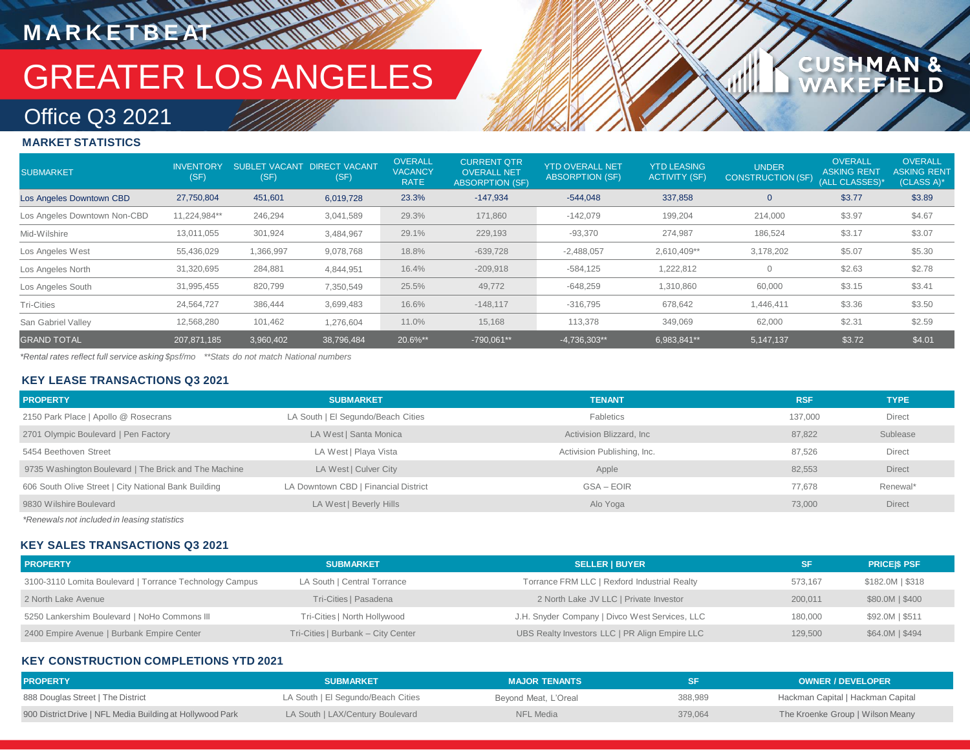# GREATER LOS ANGELES

# Office Q3 2021

**M A R K E T B E AT**

# **MARKET STATISTICS**

| <b>SUBMARKET</b>             | <b>INVENTORY</b><br>(SF) | (SF)      | SUBLET VACANT DIRECT VACANT<br>(SF) | <b>OVERALL</b><br><b>VACANCY</b><br><b>RATE</b> | <b>CURRENT OTR</b><br><b>OVERALL NET</b><br><b>ABSORPTION (SF)</b> | <b>YTD OVERALL NET</b><br><b>ABSORPTION (SF)</b> | <b>YTD LEASING</b><br><b>ACTIVITY (SF)</b> | <b>UNDER</b><br>CONSTRUCTION (SF) | <b>OVERALL</b><br><b>ASKING RENT</b><br>(ALL CLASSES)* | <b>OVERALL</b><br><b>ASKING RENT</b><br>(CLASS A)* |
|------------------------------|--------------------------|-----------|-------------------------------------|-------------------------------------------------|--------------------------------------------------------------------|--------------------------------------------------|--------------------------------------------|-----------------------------------|--------------------------------------------------------|----------------------------------------------------|
| Los Angeles Downtown CBD     | 27,750,804               | 451,601   | 6,019,728                           | 23.3%                                           | $-147,934$                                                         | $-544,048$                                       | 337,858                                    | $\mathbf 0$                       | \$3.77                                                 | \$3.89                                             |
| Los Angeles Downtown Non-CBD | 11,224,984**             | 246,294   | 3,041,589                           | 29.3%                                           | 171,860                                                            | $-142,079$                                       | 199,204                                    | 214,000                           | \$3.97                                                 | \$4.67                                             |
| Mid-Wilshire                 | 13,011,055               | 301,924   | 3,484,967                           | 29.1%                                           | 229,193                                                            | $-93,370$                                        | 274,987                                    | 186,524                           | \$3.17                                                 | \$3.07                                             |
| Los Angeles West             | 55,436,029               | 1,366,997 | 9,078,768                           | 18.8%                                           | $-639,728$                                                         | $-2,488,057$                                     | 2,610,409**                                | 3,178,202                         | \$5.07                                                 | \$5.30                                             |
| Los Angeles North            | 31,320,695               | 284,881   | 4,844,951                           | 16.4%                                           | $-209,918$                                                         | $-584,125$                                       | 1,222,812                                  | $\mathbf{0}$                      | \$2.63                                                 | \$2.78                                             |
| Los Angeles South            | 31,995,455               | 820,799   | 7,350,549                           | 25.5%                                           | 49,772                                                             | $-648,259$                                       | 1,310,860                                  | 60,000                            | \$3.15                                                 | \$3.41                                             |
| <b>Tri-Cities</b>            | 24,564,727               | 386,444   | 3,699,483                           | 16.6%                                           | $-148,117$                                                         | $-316,795$                                       | 678,642                                    | 1,446,411                         | \$3.36                                                 | \$3.50                                             |
| San Gabriel Valley           | 12,568,280               | 101,462   | 1,276,604                           | 11.0%                                           | 15,168                                                             | 113,378                                          | 349,069                                    | 62,000                            | \$2.31                                                 | \$2.59                                             |
| <b>GRAND TOTAL</b>           | 207,871,185              | 3,960,402 | 38,796,484                          | 20.6%**                                         | $-790,061**$                                                       | $-4,736,303**$                                   | 6,983,841**                                | 5,147,137                         | \$3.72                                                 | \$4.01                                             |

1AN &<br>FIELD

**CUSHM** 

*\*Rental rates reflect full service asking \$psf/mo \*\*Stats do not match National numbers*

### **KEY LEASE TRANSACTIONS Q3 2021**

| <b>PROPERTY</b>                                       | <b>SUBMARKET</b>                     | <b>TENANT</b>               | <b>RSF</b> | <b>TYPE</b>   |
|-------------------------------------------------------|--------------------------------------|-----------------------------|------------|---------------|
| 2150 Park Place   Apollo @ Rosecrans                  | LA South   El Segundo/Beach Cities   | Fabletics                   | 137.000    | <b>Direct</b> |
| 2701 Olympic Boulevard   Pen Factory                  | LA West   Santa Monica               | Activision Blizzard, Inc.   | 87,822     | Sublease      |
| 5454 Beethoven Street                                 | LA West   Playa Vista                | Activision Publishing, Inc. | 87.526     | <b>Direct</b> |
| 9735 Washington Boulevard   The Brick and The Machine | LA West   Culver City                | Apple                       | 82,553     | <b>Direct</b> |
| 606 South Olive Street   City National Bank Building  | LA Downtown CBD   Financial District | GSA – EOIR                  | 77.678     | Renewal*      |
| 9830 Wilshire Boulevard                               | LA West   Beverly Hills              | Alo Yoga                    | 73.000     | <b>Direct</b> |

*\*Renewals not included in leasing statistics*

## **KEY SALES TRANSACTIONS Q3 2021**

| <b>PROPERTY</b>                                         | <b>SUBMARKET</b>                   | <b>SELLER I BUYER</b>                          |         | <b>PRICESS PSF</b> |
|---------------------------------------------------------|------------------------------------|------------------------------------------------|---------|--------------------|
| 3100-3110 Lomita Boulevard   Torrance Technology Campus | LA South   Central Torrance        | Torrance FRM LLC   Rexford Industrial Realty   | 573.167 | \$182.0M   \$318   |
| 2 North Lake Avenue                                     | Tri-Cities   Pasadena              | 2 North Lake JV LLC   Private Investor         | 200.011 | \$80.0M   \$400    |
| 5250 Lankershim Boulevard   NoHo Commons III            | Tri-Cities   North Hollywood       | J.H. Snyder Company   Divco West Services, LLC | 180,000 | \$92.0M   \$511    |
| 2400 Empire Avenue   Burbank Empire Center              | Tri-Cities   Burbank - City Center | UBS Realty Investors LLC   PR Align Empire LLC | 129.500 | \$64.0M   \$494    |

### **KEY CONSTRUCTION COMPLETIONS YTD 2021**

| <b>PROPERTY</b>                                           | <b>SUBMARKET</b>                   | <b>MAJOR TENANTS</b> |         | <b>OWNER / DEVELOPER</b>          |
|-----------------------------------------------------------|------------------------------------|----------------------|---------|-----------------------------------|
| 888 Douglas Street   The District                         | LA South   El Segundo/Beach Cities | Beyond Meat, L'Oreal | 388,989 | Hackman Capital   Hackman Capital |
| 900 District Drive   NFL Media Building at Hollywood Park | LA South   LAX/Century Boulevard   | NFL Media            | 379.064 | The Kroenke Group   Wilson Meany  |